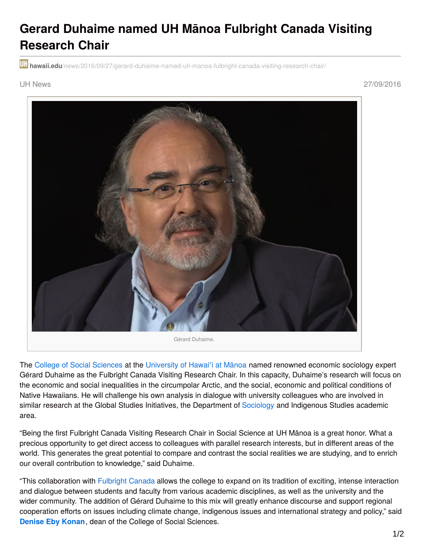## **Gerard Duhaime named UH Mānoa Fulbright Canada Visiting Research Chair**

**hawaii.edu**[/news/2016/09/27/gerard-duhaime-named-uh-manoa-fulbright-canada-visiting-research-chair/](http://www.hawaii.edu/news/2016/09/27/gerard-duhaime-named-uh-manoa-fulbright-canada-visiting-research-chair/)

UH News 27/09/2016



The College of Social [Sciences](http://www.socialsciences.hawaii.edu/) at the [University](https://manoa.hawaii.edu/) of Hawai'i at Mānoa named renowned economic sociology expert Gérard Duhaime as the Fulbright Canada Visiting Research Chair. In this capacity, Duhaime's research will focus on the economic and social inequalities in the circumpolar Arctic, and the social, economic and political conditions of Native Hawaiians. He will challenge his own analysis in dialogue with university colleagues who are involved in similar research at the Global Studies Initiatives, the Department of [Sociology](http://www.sociology.hawaii.edu/) and Indigenous Studies academic area.

"Being the first Fulbright Canada Visiting Research Chair in Social Science at UH Mānoa is a great honor. What a precious opportunity to get direct access to colleagues with parallel research interests, but in different areas of the world. This generates the great potential to compare and contrast the social realities we are studying, and to enrich our overall contribution to knowledge," said Duhaime.

"This collaboration with [Fulbright](http://www.fulbright.ca/) Canada allows the college to expand on its tradition of exciting, intense interaction and dialogue between students and faculty from various academic disciplines, as well as the university and the wider community. The addition of Gérard Duhaime to this mix will greatly enhance discourse and support regional cooperation efforts on issues including climate change, indigenous issues and international strategy and policy," said **[Denise](http://www.socialsciences.hawaii.edu/about/about-the-dean.html) Eby Konan**, dean of the College of Social Sciences.